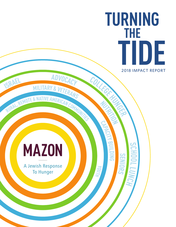**TURNING THE TIDE** 2018 IMPACT REPORT

# **MAZON**

**ISRAEL MILITARY** 

REMOTE & NATIVE AMERICAN COMMUNITIES

**<sup>M</sup>ILITAR<sup>Y</sup> & <sup>V</sup>ETERAN<sup>S</sup>**

**RURAL,**

A Jewish Response **To Hunger** 

**X** 

CREAT

**NUTRITION**

 $\frac{C_{\textit{OL}}}{C_{\textit{L}}}}$ 

**BUI L DIN G**

**S E N**

**S C H O O L**

**LEXUPT** 

**OI RS**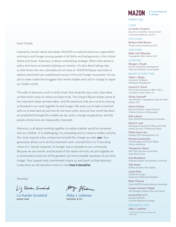#### Dear Friends,

Inspired by Jewish values and ideals, MAZON is a national advocacy organization working to end hunger among people of all faiths and backgrounds in the United States and Israel. Advocacy is about undertaking strategic efforts that advance policy and move us toward realizing our mission. It's also about taking risks so that those who are vulnerable do not have to. MAZON blazes new trails to address persistent yet unaddressed issues in the anti-hunger movement. It's our job to make visible the struggles that remain hidden and call for change to repair our broken world.

The path of advocacy work is rarely linear. But along the way, every step takes us that much closer to where we hope to be. This Impact Report shares some of the important steps we have taken, and the advances that are crucial to moving us forward in our work together to end hunger. We want you to take a moment with us to look back at just how far we have come, and just how much has been accomplished through the models we set, policy change we galvanize, and the people whose lives are measurably improved.

Advocacy is all about working together to realize a better world for ourselves and our children. It is challenging, it is rewarding and it is never a solitary activity. Our work requires a key component to build the change we seek: **you**. Your generosity allows us to do this important work. Leonard Fein's (z"l) founding vision of a "Jewish response" to hunger was a mandate to our community. Because we are Jewish, and because of the values we hold, we join together as a community to end one of the greatest, yet most solvable injustices of our time: hunger. Your support and commitment inspire us and teach us that advocacy is also how we *will* transform how it is into **how it should be**.

Sincerely,

Liz Kanter Groskind

Liz Kanter Groskind BOARD CHAIR

Ator JEeihnen

Abby J. Leibman PRESIDENT & CEO

# **MA70N**

A Jewish Response **To Hunger** 

#### mazon.org

CHAIR

Liz Kanter Groskind *Executive Committee, Tucson Jewish Community Relations Council\**

VICE CHAIR Barbara Wahl Rosove

*Temple Israel of Hollywood (CA)*

TREASURER

Rabbi Joel Pitkowsky *Congregation Beth Sholom (NJ)*

**SECRETARY** Morgan J. Powell *Director of Business Development Veterinary Markets, Sirona Dental*

#### BOARD OF DIRECTORS

Adam L. Berger *Investment Strategist, Wellington Management*

Leonard A. David *SVP & Chief Compliance Officer (Ret.), Consultant, Harry Schein, Inc.*

Shirley Davidoff<sup>o</sup> *Vice President, Congregation Shearith Israel (Dallas, TX)*

Steven Krikava *Board of Directors, Jewish Family & Children's Service of Minneapolis*

Ruth Laibson *Chair, MAZON Development Committee*

David A. Lash *Managing Counsel for Pro Bono and Public Interest Services, O'Melveny & Myers*

Phyllis Savar Levy *Founder/CEO, GrowingPoints, LLC*

Richard Loewenstein *Chief Strategy and Growth Officer, Centria Healthcare*

Theodore R. Mann° *Past Chair, Executive Committee, Israel Policy Forum*

Ana Mendelson *Graduate Student, Northwestern University*

Talia Rosen *Gallery Assistant, Pace Gallery*

Lauren Ross *Challah for Hunger, University of Wisconsin-Madison*

Robin Thomas *Chair, MAZON Grants Advisory Committee*

Carolyn Schwarz Tisdale *Vice President, Hebrew Free Loan Detroit*

Leonard Fein (z"l) *Founder, MAZON: A Jewish Response to Hunger*

#### PRESIDENT & CEO

Abby J. Leibman

\* Titles for identification purposes only ° Past Chair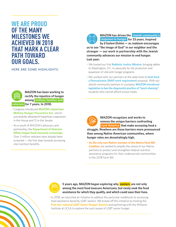# **WE ARE PROUD OF THE MANY MILESTONES WE ACHIEVED IN 2018 THAT MARK A CLEAR PATH TOWARD OUR GOALS.**

HERE ARE SOME HIGHLIGHTS:



## **MAZON has been working to rectify the injustice of hunger among military families and**

 **veterans for 7 years. In 2018:**

- Congress introduced **MAZON's bipartisan Military Hunger Prevention Act,** which successfully obtained 61 bipartisan cosponsors in the House and 12 in the Senate.
- As a result of MAZON's advocacy and partnership, the **Department of Veterans Affairs began food insecurity screenings.** Over 3 million veterans have already been screened — the first step towards accessing vital nutrition benefits.



**MAZON has driven the Jewish community's for 33 years. Inspired response to hunger by** *b'tzelem Elohim* **— as Judaism encourages** 

**us to see "the image of God" in our neighbor and the stranger — our work in partnership with the Jewish community advances our mission to end hunger. Last year:**

- We hosted our first **Rabbinic Justice Mission,** bringing rabbis to Washington, D.C. to advocate for the protection and expansion of vital anti-hunger programs.
- We worked with our partners at the state level to **beat back a Pennsylvania SNAP work requirement** proposal. With our Jewish community partners in Louisiana, **MAZON introduced legislation to ban the disgraceful practice of "lunch shaming"** students who cannot afford school meals.



**MAZON recognizes and works to remove the unique barriers confronting rural America** that make accessing food a

**struggle. Nowhere are these barriers more pronounced than among Native American communities, where hunger rates are devastatingly high.** 

• **As the only non-Native member of the Native Farm Bill Coalition,** we worked to amplify the voices of our Native partners to protect and strengthen federal nutrition assistance programs for their underserved communities in the 2018 Farm Bill.



**5 years ago, MAZON began exploring why seniors are not only among the most food insecure Americans, but rarely seek the food assistance for which they qualify, and which could save their lives.** 

• In 2018, we launched an initiative to address the particular roadblocks to accessing food assistance faced by LGBT seniors. We kicked off this initiative by hosting the first ever national LGBT Senior Hunger Summit and partnering with the Williams Institute at UCLA to explore the root causes of LGBT senior hunger.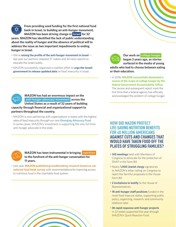

From providing seed funding for the first national food **bank in Israel, to building an anti-hunger movement, MAZON has been driving change in Israel for 32** 

**years. MAZON has identified the lack of public understanding about the reality of hunger and the absence of political will to address the issue as two important impediments to ending hunger in Israel.** 

- We're **raising the profile of the anti-hunger movement in Israel** last year our partners released 57 videos and 34 news reports to educate the Israeli public.
- MAZON successfully organized a coalition effort to urge the Israeli **government to release updated data** on food insecurity in Israel.



**MAZON has had an enormous impact on the** and the acknowledged the problem of college hunger.  **anti-hunger advocacy movement across the United States as a result of 32 years of building**  capacity through financial and organizational support to

#### **partners throughout the country.**

• MAZON is now partnering with organizations in states with the highest rates of food insecurity through our new **Emerging Advocacy Fund**. In some cases, MAZON's investment is supporting the only full time anti-hunger advocate in the state.



**MAZON** has been instrumental in bringing nutrition **to the forefront of the anti-hunger conversation for 11 years.** 

• Last year, **MAZON published groundbreaking research based on our national food bank survey** with recommendations for improving access to nutritious food in the charitable food system.



**Our work on college hunger began 2 years ago, as stories surfaced in the media of young adults who had to choose between eating or their education.** 

• In 2018, **MAZON successfully demanded a review of the scope of college hunger by the**  federal Government Accountability Office. The review and subsequent report mark the first time that a federal agency has officially

**HOW DID MAZON PROTECT LIFE-SAVING NUTRITION BENEFITS FOR 40 MILLION AMERICANS AGAINST CUTS AND CHANGES THAT WOULD HAVE TAKEN FOOD OFF THE PLATES OF STRUGGLING FAMILIES?** 

- **143 meetings** held with Members of Congress to advocate for the protection of SNAP in the Farm Bill
- Nearly **1,000 Jewish clergy** signatories to MAZON's letter calling on Congress to reject the harmful proposals in the House Farm Bill
- • **2 invitations to testify** to the House of Representatives
- **18 anti-hunger staff positions** funded in the most food insecure states, supporting public policy, organizing, research, and community relations roles
- **36 rapid response anti-hunger projects**  in 22 states supported this year through MAZON's Quick Reaction Fund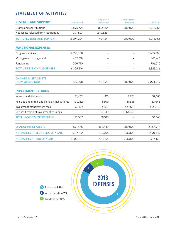## STATEMENT OF ACTIVITIES

| <b>REVENUE AND SUPPORT</b>                   | Unrestricted | Temporarily<br>Restricted | Permanently<br>Restricted | 2018 Total* |
|----------------------------------------------|--------------|---------------------------|---------------------------|-------------|
| Grants and contributions                     | 7,896,701    | 822,064                   | 200,000                   | 8,918,765   |
| Net assets released from restrictions        | 397,523      | (397, 523)                |                           |             |
| <b>TOTAL REVENUE AND SUPPORT</b>             | 8,294,224    | 424,541                   | 200,000                   | 8,918,765   |
| <b>FUNCTIONAL EXPENSES</b>                   |              |                           |                           |             |
| Program services                             | 5,655,888    |                           |                           | 5,655,888   |
| Management and general                       | 462,618      | $\overline{\phantom{0}}$  |                           | 462,618     |
| Fundraising                                  | 706,710      |                           |                           | 706,710     |
| <b>TOTAL FUNCTIONAL EXPENSES</b>             | 6,825,216    | $\overline{\phantom{0}}$  |                           | 6,825,216   |
| <b>CHANGE IN NET ASSETS</b>                  |              |                           |                           |             |
| <b>FROM OPERATIONS</b>                       | 1,469,008    | 424,541                   | 200,000                   | 2,093,549   |
| <b>INVESTMENT RETURNS</b>                    |              |                           |                           |             |
| Interest and dividends                       | 31,452       | 413                       | 7,226                     | 39,091      |
| Realized and unrealized gains on investments | 100,152      | 1,809                     | 31,685                    | 133,646     |
| Investment management fees                   | (9,047)      | (163)                     | (2,862)                   | (12,072)    |
| Reclassification of investment earnings      |              | 36,049                    | (36,049)                  |             |
| <b>TOTAL INVESTMENT RETURNS</b>              | 122,557      | 38,108                    |                           | 160,665     |
| <b>CHANGE IN NET ASSETS</b>                  | 1,591,565    | 462,649                   | 200,000                   | 2,254,214   |
| NET ASSETS AT BEGINNING OF YEAR              | 2,617,742    | 315,905                   | 556,800                   | 3,490,447   |
| <b>NET ASSETS AT END OF YEAR</b>             | 4,209,307    | 778,554                   | 756,800                   | 5,744,661   |

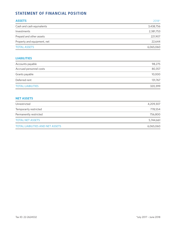# STATEMENT OF FINANCIAL POSITION

| <b>ASSETS</b>               | $2018*$   |
|-----------------------------|-----------|
| Cash and cash equivalents   | 3,438,756 |
| Investments                 | 2,381,753 |
| Prepaid and other assets    | 221,907   |
| Property and equipment, net | 22.644    |
| <b>TOTAL ASSETS</b>         | 6,065,060 |

## **LIABILITIES**

| Accounts payable         | 98,275  |
|--------------------------|---------|
| Accrued personnel costs  | 80,357  |
| Grants payable           | 10,000  |
| Deferred rent            | 131,767 |
| <b>TOTAL LIABILITIES</b> | 320,399 |

#### **NET ASSETS**

| Unrestricted                            | 4,209,307 |
|-----------------------------------------|-----------|
| Temporarily restricted                  | 778,554   |
| Permanently restricted                  | 756,800   |
| <b>TOTAL NET ASSETS</b>                 | 5,744,661 |
| <b>TOTAL LIABILITIES AND NET ASSETS</b> | 6,065,060 |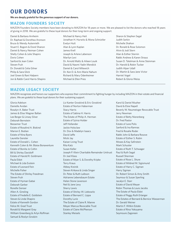# OUR DONORS

**We are deeply grateful for the generous support of our donors.**

## MAZON FOUNDERS SOCIETY

MAZON Founders Society members have been donating to MAZON for 18 years or more. We are pleased to list the donors who reached 18 years of giving in 2018. We are grateful to these loyal donors for their long-term and ongoing support.

- Daniel & Barbara Arnheim Dr. Raphael & Dorothea Aronson Bruce & Wendy Autenrieth Stuart E. Bogom & Dorel Shanon Daniel & Nancy Neiman Cohen Shelly Cohen & Julie Shapiro Doris Cohen Sanford & Jean Colen Steven Fruh Dr. Donald & Celia Gilner Philip & Sara Glick Joel Green & Rani Halpern Jon & Rabbi Carol Harris-Shapiro
- Michael & Nancy Heit Jonathan H. Hurwitz & Mona Schniztler Evelyn Hutt Alan & Lynn Kaplan James Krell Joseph & Arlene Labenson Marilyn Levi Dr. Arnold Maltz & Aileen Louik David & Naomi Yadin Mendick Daniel & Carol Milewich Dr. Ken D. & Ann Marie Nahum Richard & Mary Odenheimer Michael & Ellen Pries
- Sharon & Stephen Segal Judith Serkin Michelle Shahon Dr. Ronald & Rose Solomon Alvin & Jodi Stern Alan & Esther Sternin Rabbi Andrew & Karen Straus Susan D. Tatelman & Anne Steinman Dr. Harold & Robin Tucker Judith Alper Udall Dr. Martin & Sara Jane Victor Harriet Vogel Robert & Gloria Weiss

## MAZON LEGACY SOCIETY

MAZON recognizes and honors our supporters who express their commitment to fighting hunger by including MAZON in their estate and financial plans. We are grateful to these loyal donors for their sustaining support.

Gloria Adelson Danielle Avidan Rosalyn A. Baker Trust James & Elise Wagner Ballan Lee Berger & Linsey Silver Deborah Bernstein Bessemer Trust Estate of Rosalind A. Biskind Marion E. Bodian Estate of Nina Byers Laurette Gensler Estate of Donald L. Cohen Kenneth Colen & Mr. Blaise Bonaventure Estate of Bonita Jo Coltin Bill & Shirley Davidoff Estate of Harold R. Goldmann Paula Eldot Michael & Lida Exstein Estate of Leonard Fein Michelle Fisher The Estate of Shirley Freedman Steven Fruh Estate of Hyman Gabai Deborah Garber Ronelle Genser Allen A. Ginsling Estate of Fredelle E. Goldstein Steven & Linda Shapiro Estate of Kenneth Gordon Felice M. Grad Trust Ronald & Margaret Gray William Greenberg & Arlyn Roffman Samuel & Roslyn Grodzin

Liz Kanter Groskind & Eric Groskind Estate of Norton Haberman Stacy Harris Estate of Sabina H. Harris The Estate of Philip A. Herman Estate of Sylvia Holder Jeff Hollander Jackie Holsclaw Dr. Dov & Madelyn Isaacs David Jaffe Micki Jay Kaiser Living Trust Rita Katz Susan Keller Joseph P. Klein Charitable Remainder Unitrust Dr Joel Klass Estate of Myer S. & Dorothy Kripke Terry Kraus Abbey Kreinik Steven Krikava & Linda Singer Dr. Peter & Ruth Laibson Adrianne Lebensbaum Estate Helen Stone Levenson Neil & Jane Levy Sherry Lewis Estate of Shirley W. Liebowitz Estate of Bernard C. Lippa Dorothy Lurie The Estate of Claire R. Manne Meyer Marcus Revocable Trust Estate of Claire McPherson Stanley Meisels

Karol & Daniel Musher David & Elsie Napell Beverly W. Neumetzger Revocable Trust Jerry Newman Estate of Betty Nierenberg Dr. Fred Pastor Estate of June Polis Sanford & Ina Ramras Fred & Rosalie Roder Rabbi John & Barbara Rosove Estate of Esther S. Rubin Moses & Kay Safirstein Mark Schuster Estate of Ruth T. Schwager Paul & Ruth Segal Russell Sherman Estate of Rose L. Shure Estate of Mildred M. Sigismund Estate of Harry C. Sigman Harry Sigman Dr. Robert Simon & Amy Smith Seymour & Susan Sperling Jacalyn E. Starr Estate of David Meyer Robin Thomas & Louis Jacobs The Estate of Paula Eldot Estate of Peggy Ruth Erlanger The Estates of Bernard & Bernice Wasserman Dr. Gerald Weiner Martin F. Witkin Estate Estate of Rina Yokoyama Seymoure Zagoreen